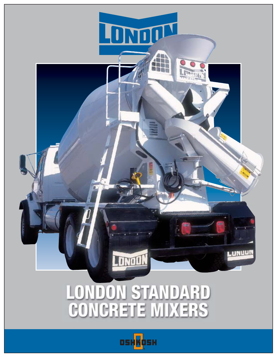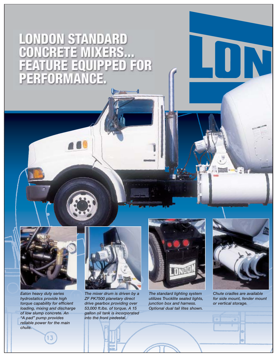## LONDON STANDARD<br>CONCRETE MIXERS...<br>FEATURE EQUIPPED FOR PERFORM Ţ H



*Eaton heavy duty series hydrostatics provide high torque capability for efficient loading, mixing and discharge of low slump concrete. An "A pad" pump provides reliable power for the main chute.* 



*The mixer drum is driven by a ZF PK7500 planetary direct drive gearbox providing over 53,000 ft.lbs. of torque. A 15 gallon oil tank is incorporated into the front pedestal.* 



*The standard lighting system utilizes Trucklite sealed lights, junction box and harness. Optional dual tail lites shown.*



UN

*Chute cradles are available for side mount, fender mount or vertical storage.*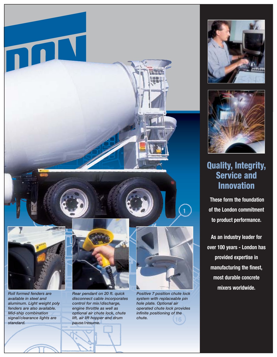



## **Quality, Integrity, Service and Innovation**

**These form the foundation of the London commitment to product performance.**

**As an industry leader for over 100 years - London has provided expertise in manufacturing the finest, most durable concrete mixers worldwide.**

*available in steel and aluminum. Light weight poly fenders are also available. Mid-ship combination signal/clearance lights are standard.*

*disconnect cable incorporates control for mix /discharge, engine throttle as well as optional air chute lock, chute lift, air lift hopper and drum pause/resume.*